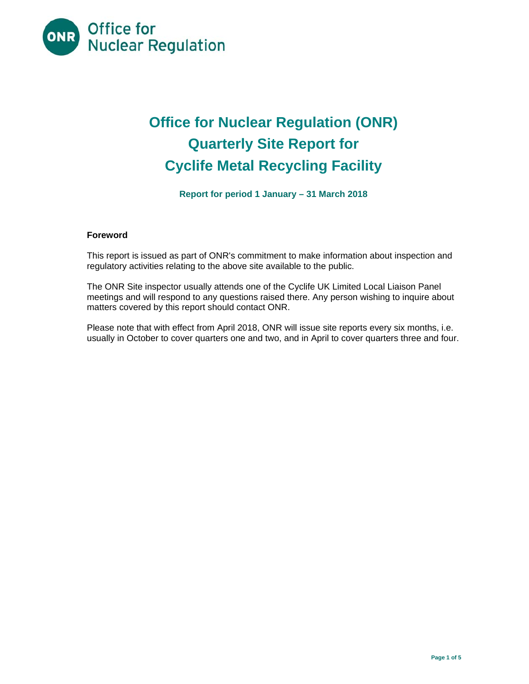

# **Office for Nuclear Regulation (ONR) Quarterly Site Report for Cyclife Metal Recycling Facility**

**Report for period 1 January – 31 March 2018** 

## **Foreword**

This report is issued as part of ONR's commitment to make information about inspection and regulatory activities relating to the above site available to the public.

The ONR Site inspector usually attends one of the Cyclife UK Limited Local Liaison Panel meetings and will respond to any questions raised there. Any person wishing to inquire about matters covered by this report should contact ONR.

Please note that with effect from April 2018, ONR will issue site reports every six months, i.e. usually in October to cover quarters one and two, and in April to cover quarters three and four.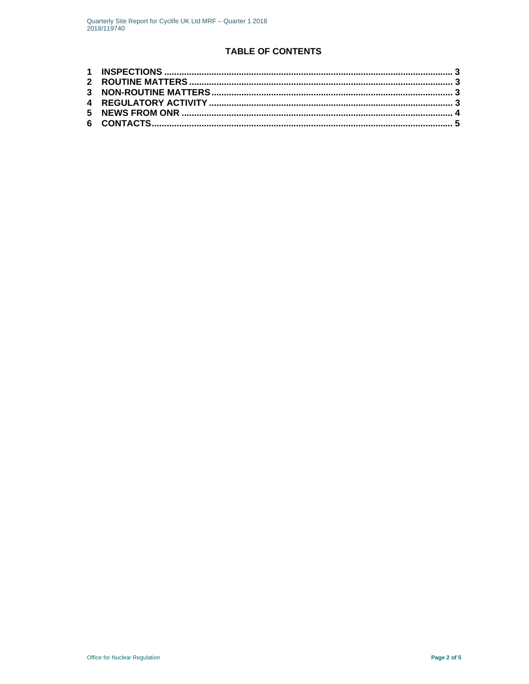# **TABLE OF CONTENTS**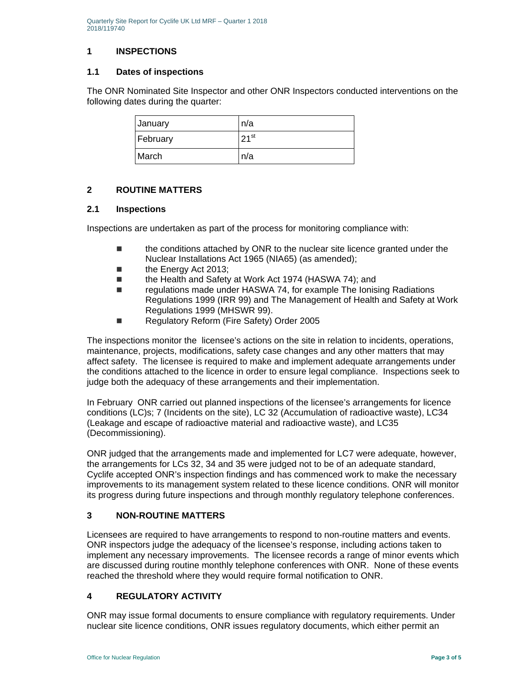Quarterly Site Report for Cyclife UK Ltd MRF – Quarter 1 2018 2018/119740

#### **1 INSPECTIONS**

#### **1.1 Dates of inspections**

The ONR Nominated Site Inspector and other ONR Inspectors conducted interventions on the following dates during the quarter:

| <b>January</b> | In/a      |
|----------------|-----------|
| February       | $21^{st}$ |
| March          | n/a       |

## **2 ROUTINE MATTERS**

#### **2.1 Inspections**

Inspections are undertaken as part of the process for monitoring compliance with:

- the conditions attached by ONR to the nuclear site licence granted under the Nuclear Installations Act 1965 (NIA65) (as amended);
- **the Energy Act 2013;**
- the Health and Safety at Work Act 1974 (HASWA 74); and
- regulations made under HASWA 74, for example The Ionising Radiations Regulations 1999 (IRR 99) and The Management of Health and Safety at Work Regulations 1999 (MHSWR 99).
- Regulatory Reform (Fire Safety) Order 2005

The inspections monitor the licensee's actions on the site in relation to incidents, operations, maintenance, projects, modifications, safety case changes and any other matters that may affect safety. The licensee is required to make and implement adequate arrangements under the conditions attached to the licence in order to ensure legal compliance. Inspections seek to judge both the adequacy of these arrangements and their implementation.

In February ONR carried out planned inspections of the licensee's arrangements for licence conditions (LC)s; 7 (Incidents on the site), LC 32 (Accumulation of radioactive waste), LC34 (Leakage and escape of radioactive material and radioactive waste), and LC35 (Decommissioning).

ONR judged that the arrangements made and implemented for LC7 were adequate, however, the arrangements for LCs 32, 34 and 35 were judged not to be of an adequate standard, Cyclife accepted ONR's inspection findings and has commenced work to make the necessary improvements to its management system related to these licence conditions. ONR will monitor its progress during future inspections and through monthly regulatory telephone conferences.

## **3 NON-ROUTINE MATTERS**

Licensees are required to have arrangements to respond to non-routine matters and events. ONR inspectors judge the adequacy of the licensee's response, including actions taken to implement any necessary improvements. The licensee records a range of minor events which are discussed during routine monthly telephone conferences with ONR. None of these events reached the threshold where they would require formal notification to ONR.

## **4 REGULATORY ACTIVITY**

ONR may issue formal documents to ensure compliance with regulatory requirements. Under nuclear site licence conditions, ONR issues regulatory documents, which either permit an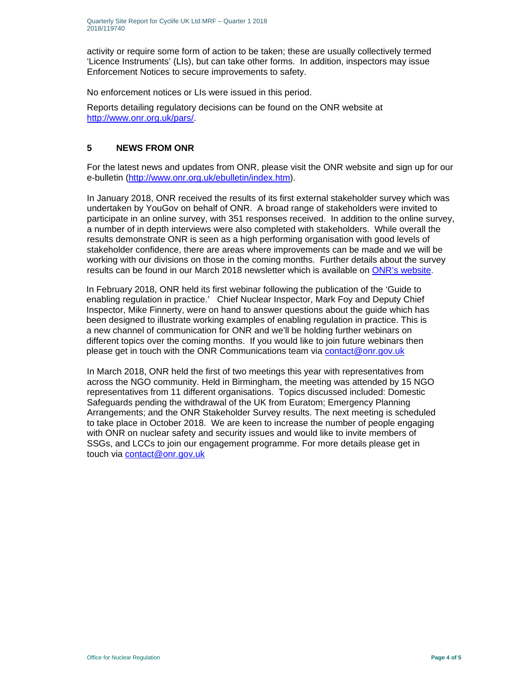activity or require some form of action to be taken; these are usually collectively termed 'Licence Instruments' (LIs), but can take other forms. In addition, inspectors may issue Enforcement Notices to secure improvements to safety.

No enforcement notices or LIs were issued in this period.

Reports detailing regulatory decisions can be found on the ONR website at http://www.onr.org.uk/pars/.

## **5 NEWS FROM ONR**

For the latest news and updates from ONR, please visit the ONR website and sign up for our e-bulletin (http://www.onr.org.uk/ebulletin/index.htm).

In January 2018, ONR received the results of its first external stakeholder survey which was undertaken by YouGov on behalf of ONR. A broad range of stakeholders were invited to participate in an online survey, with 351 responses received. In addition to the online survey, a number of in depth interviews were also completed with stakeholders. While overall the results demonstrate ONR is seen as a high performing organisation with good levels of stakeholder confidence, there are areas where improvements can be made and we will be working with our divisions on those in the coming months. Further details about the survey results can be found in our March 2018 newsletter which is available on ONR's website.

In February 2018, ONR held its first webinar following the publication of the 'Guide to enabling regulation in practice.' Chief Nuclear Inspector, Mark Foy and Deputy Chief Inspector, Mike Finnerty, were on hand to answer questions about the guide which has been designed to illustrate working examples of enabling regulation in practice. This is a new channel of communication for ONR and we'll be holding further webinars on different topics over the coming months. If you would like to join future webinars then please get in touch with the ONR Communications team via contact@onr.gov.uk

In March 2018, ONR held the first of two meetings this year with representatives from across the NGO community. Held in Birmingham, the meeting was attended by 15 NGO representatives from 11 different organisations. Topics discussed included: Domestic Safeguards pending the withdrawal of the UK from Euratom; Emergency Planning Arrangements; and the ONR Stakeholder Survey results. The next meeting is scheduled to take place in October 2018. We are keen to increase the number of people engaging with ONR on nuclear safety and security issues and would like to invite members of SSGs, and LCCs to join our engagement programme. For more details please get in touch via contact@onr.gov.uk